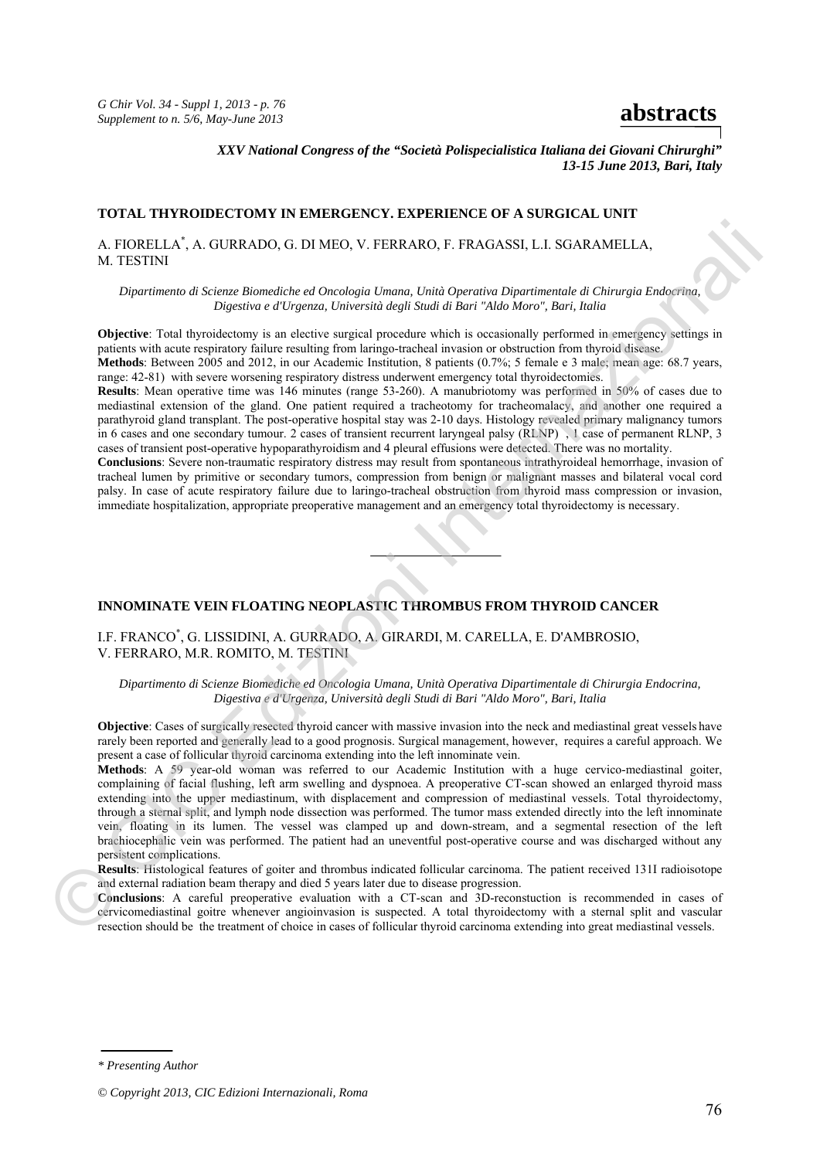*G Chir Vol. 34 - Suppl 1, 2013 - p. 76 S* Chir Vol. 54 - Suppl 1, 2015 - p. 76<br>Supplement to n. 5/6, May-June 2013

*XXV National Congress of the "Società Polispecialistica Italiana dei Giovani Chirurghi" 13-15 June 2013, Bari, Italy* 

## **TOTAL THYROIDECTOMY IN EMERGENCY. EXPERIENCE OF A SURGICAL UNIT**

A. FIORELLA\* , A. GURRADO, G. DI MEO, V. FERRARO, F. FRAGASSI, L.I. SGARAMELLA, M. TESTINI

*Dipartimento di Scienze Biomediche ed Oncologia Umana, Unità Operativa Dipartimentale di Chirurgia Endocrina, Digestiva e d'Urgenza, Università degli Studi di Bari "Aldo Moro", Bari, Italia* 

**Objective**: Total thyroidectomy is an elective surgical procedure which is occasionally performed in emergency settings in patients with acute respiratory failure resulting from laringo-tracheal invasion or obstruction from thyroid disease. **Methods**: Between 2005 and 2012, in our Academic Institution, 8 patients (0.7%; 5 female e 3 male; mean age: 68.7 years,

range: 42-81) with severe worsening respiratory distress underwent emergency total thyroidectomies.

**Results**: Mean operative time was 146 minutes (range 53-260). A manubriotomy was performed in 50% of cases due to mediastinal extension of the gland. One patient required a tracheotomy for tracheomalacy, and another one required a parathyroid gland transplant. The post-operative hospital stay was 2-10 days. Histology revealed primary malignancy tumors in 6 cases and one secondary tumour. 2 cases of transient recurrent laryngeal palsy (RLNP) , 1 case of permanent RLNP, 3 cases of transient post-operative hypoparathyroidism and 4 pleural effusions were detected. There was no mortality.

**Conclusions**: Severe non-traumatic respiratory distress may result from spontaneous intrathyroideal hemorrhage, invasion of tracheal lumen by primitive or secondary tumors, compression from benign or malignant masses and bilateral vocal cord palsy. In case of acute respiratory failure due to laringo-tracheal obstruction from thyroid mass compression or invasion, immediate hospitalization, appropriate preoperative management and an emergency total thyroidectomy is necessary.



## **INNOMINATE VEIN FLOATING NEOPLASTIC THROMBUS FROM THYROID CANCER**

I.F. FRANCO\* , G. LISSIDINI, A. GURRADO, A. GIRARDI, M. CARELLA, E. D'AMBROSIO, V. FERRARO, M.R. ROMITO, M. TESTINI

*Dipartimento di Scienze Biomediche ed Oncologia Umana, Unità Operativa Dipartimentale di Chirurgia Endocrina, Digestiva e d'Urgenza, Università degli Studi di Bari "Aldo Moro", Bari, Italia* 

**Objective**: Cases of surgically resected thyroid cancer with massive invasion into the neck and mediastinal great vessels have rarely been reported and generally lead to a good prognosis. Surgical management, however, requires a careful approach. We present a case of follicular thyroid carcinoma extending into the left innominate vein.

**Methods**: A 59 year-old woman was referred to our Academic Institution with a huge cervico-mediastinal goiter, complaining of facial flushing, left arm swelling and dyspnoea. A preoperative CT-scan showed an enlarged thyroid mass extending into the upper mediastinum, with displacement and compression of mediastinal vessels. Total thyroidectomy, through a sternal split, and lymph node dissection was performed. The tumor mass extended directly into the left innominate vein, floating in its lumen. The vessel was clamped up and down-stream, and a segmental resection of the left brachiocephalic vein was performed. The patient had an uneventful post-operative course and was discharged without any persistent complications. N. FIORELLA", A. GURRADO, G. DI MFO, V. FERRARO, F. FRAGASSI, L.I. SGARAMELLA,<br>
Dipartimento di Scienze Biomediche ed Oncologia Umana, Unità Operativo Dipartimento di Gharregia Biomediche<br>
Dipartimento di Scienze Biomedic

**Results**: Histological features of goiter and thrombus indicated follicular carcinoma. The patient received 131I radioisotope and external radiation beam therapy and died 5 years later due to disease progression.

**Conclusions**: A careful preoperative evaluation with a CT-scan and 3D-reconstuction is recommended in cases of cervicomediastinal goitre whenever angioinvasion is suspected. A total thyroidectomy with a sternal split and vascular Pesults<br>
Results<br>
and external<br>
Conclus<br>
Cervicor<br>
resection resection should be the treatment of choice in cases of follicular thyroid carcinoma extending into great mediastinal vessels.

*\* Presenting Author* 

*<sup>©</sup> Copyright 2013, CIC Edizioni Internazionali, Roma*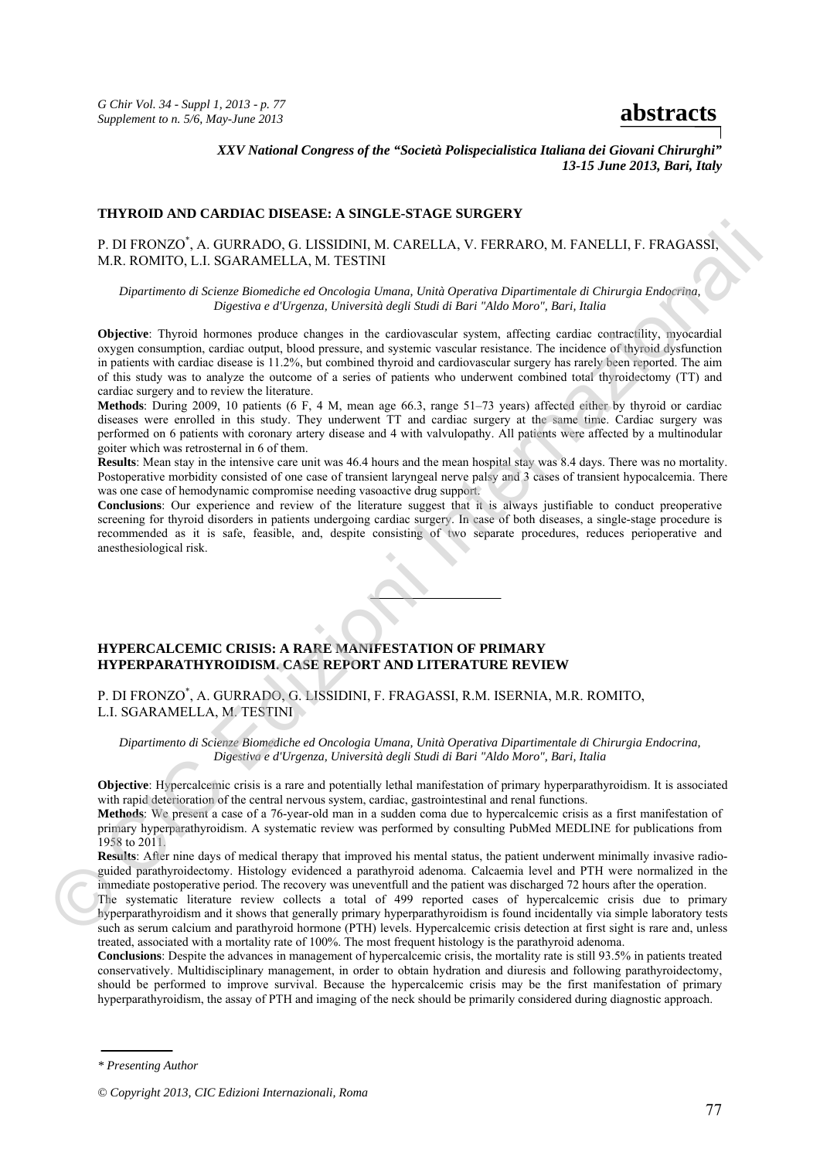*XXV National Congress of the "Società Polispecialistica Italiana dei Giovani Chirurghi" 13-15 June 2013, Bari, Italy* 

## **THYROID AND CARDIAC DISEASE: A SINGLE-STAGE SURGERY**

# P. DI FRONZO\* , A. GURRADO, G. LISSIDINI, M. CARELLA, V. FERRARO, M. FANELLI, F. FRAGASSI, M.R. ROMITO, L.I. SGARAMELLA, M. TESTINI

*Dipartimento di Scienze Biomediche ed Oncologia Umana, Unità Operativa Dipartimentale di Chirurgia Endocrina, Digestiva e d'Urgenza, Università degli Studi di Bari "Aldo Moro", Bari, Italia* 

**Objective**: Thyroid hormones produce changes in the cardiovascular system, affecting cardiac contractility, myocardial oxygen consumption, cardiac output, blood pressure, and systemic vascular resistance. The incidence of thyroid dysfunction in patients with cardiac disease is 11.2%, but combined thyroid and cardiovascular surgery has rarely been reported. The aim of this study was to analyze the outcome of a series of patients who underwent combined total thyroidectomy (TT) and cardiac surgery and to review the literature. © CIC Edizioni Internazionali

**Methods**: During 2009, 10 patients (6 F, 4 M, mean age 66.3, range 51–73 years) affected either by thyroid or cardiac diseases were enrolled in this study. They underwent TT and cardiac surgery at the same time. Cardiac surgery was performed on 6 patients with coronary artery disease and 4 with valvulopathy. All patients were affected by a multinodular goiter which was retrosternal in 6 of them.

**Results**: Mean stay in the intensive care unit was 46.4 hours and the mean hospital stay was 8.4 days. There was no mortality. Postoperative morbidity consisted of one case of transient laryngeal nerve palsy and 3 cases of transient hypocalcemia. There was one case of hemodynamic compromise needing vasoactive drug support.

**Conclusions**: Our experience and review of the literature suggest that it is always justifiable to conduct preoperative screening for thyroid disorders in patients undergoing cardiac surgery. In case of both diseases, a single-stage procedure is recommended as it is safe, feasible, and, despite consisting of two separate procedures, reduces perioperative and anesthesiological risk.



## **HYPERCALCEMIC CRISIS: A RARE MANIFESTATION OF PRIMARY HYPERPARATHYROIDISM. CASE REPORT AND LITERATURE REVIEW**

P. DI FRONZO\* , A. GURRADO, G. LISSIDINI, F. FRAGASSI, R.M. ISERNIA, M.R. ROMITO, L.I. SGARAMELLA, M. TESTINI

*Dipartimento di Scienze Biomediche ed Oncologia Umana, Unità Operativa Dipartimentale di Chirurgia Endocrina, Digestiva e d'Urgenza, Università degli Studi di Bari "Aldo Moro", Bari, Italia*

**Objective**: Hypercalcemic crisis is a rare and potentially lethal manifestation of primary hyperparathyroidism. It is associated with rapid deterioration of the central nervous system, cardiac, gastrointestinal and renal functions.

**Methods**: We present a case of a 76-year-old man in a sudden coma due to hypercalcemic crisis as a first manifestation of primary hyperparathyroidism. A systematic review was performed by consulting PubMed MEDLINE for publications from 1958 to 2011.

**Results**: After nine days of medical therapy that improved his mental status, the patient underwent minimally invasive radioguided parathyroidectomy. Histology evidenced a parathyroid adenoma. Calcaemia level and PTH were normalized in the immediate postoperative period. The recovery was uneventfull and the patient was discharged 72 hours after the operation.

The systematic literature review collects a total of 499 reported cases of hypercalcemic crisis due to primary hyperparathyroidism and it shows that generally primary hyperparathyroidism is found incidentally via simple laboratory tests such as serum calcium and parathyroid hormone (PTH) levels. Hypercalcemic crisis detection at first sight is rare and, unless treated, associated with a mortality rate of 100%. The most frequent histology is the parathyroid adenoma.

**Conclusions**: Despite the advances in management of hypercalcemic crisis, the mortality rate is still 93.5% in patients treated conservatively. Multidisciplinary management, in order to obtain hydration and diuresis and following parathyroidectomy, should be performed to improve survival. Because the hypercalcemic crisis may be the first manifestation of primary hyperparathyroidism, the assay of PTH and imaging of the neck should be primarily considered during diagnostic approach.

*<sup>\*</sup> Presenting Author* 

*<sup>©</sup> Copyright 2013, CIC Edizioni Internazionali, Roma*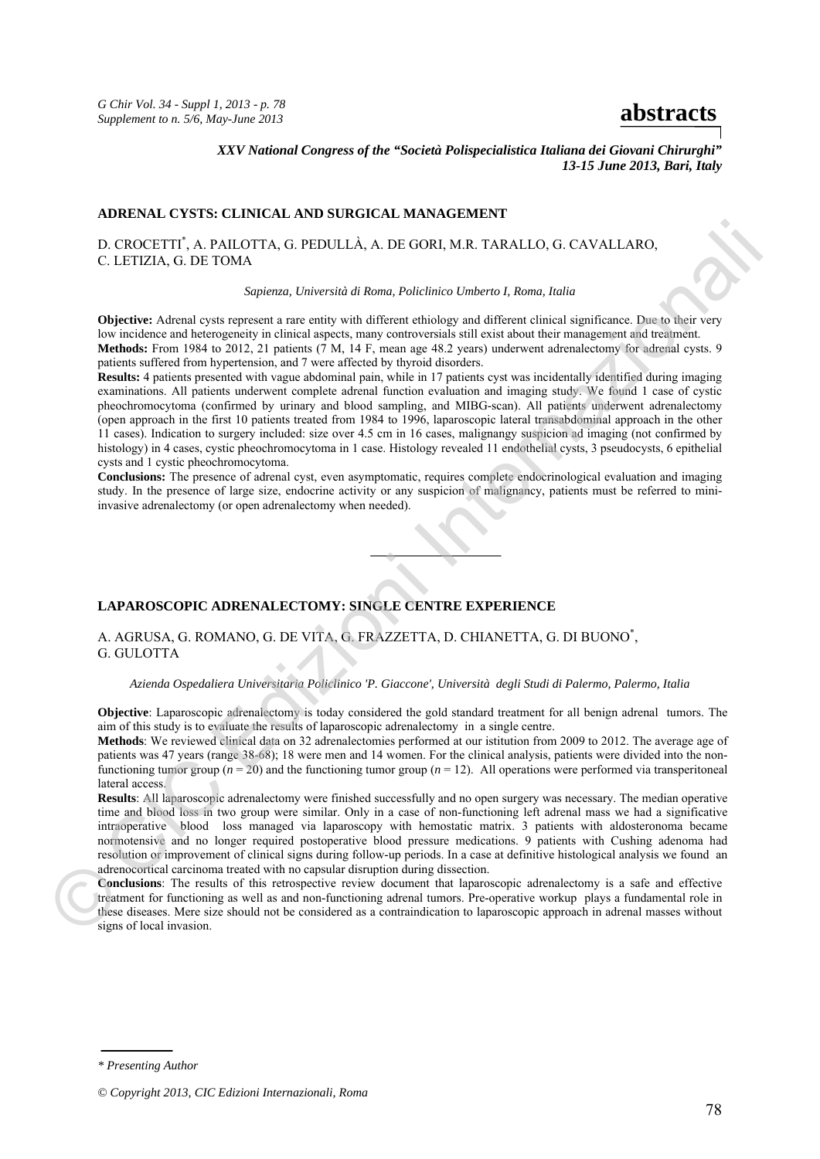*G Chir Vol. 34 - Suppl 1, 2013 - p. 78 S* Chir Vol. 54 - Suppl 1, 2015 - p. 78<br>Supplement to n. 5/6, May-June 2013

*XXV National Congress of the "Società Polispecialistica Italiana dei Giovani Chirurghi" 13-15 June 2013, Bari, Italy* 

## **ADRENAL CYSTS: CLINICAL AND SURGICAL MANAGEMENT**

D. CROCETTI\* , A. PAILOTTA, G. PEDULLÀ, A. DE GORI, M.R. TARALLO, G. CAVALLARO, C. LETIZIA, G. DE TOMA

### *Sapienza, Università di Roma, Policlinico Umberto I, Roma, Italia*

**Objective:** Adrenal cysts represent a rare entity with different ethiology and different clinical significance. Due to their very low incidence and heterogeneity in clinical aspects, many controversials still exist about their management and treatment. **Methods:** From 1984 to 2012, 21 patients (7 M, 14 F, mean age 48.2 years) underwent adrenalectomy for adrenal cysts. 9 patients suffered from hypertension, and 7 were affected by thyroid disorders.

**Results:** 4 patients presented with vague abdominal pain, while in 17 patients cyst was incidentally identified during imaging examinations. All patients underwent complete adrenal function evaluation and imaging study. We found 1 case of cystic pheochromocytoma (confirmed by urinary and blood sampling, and MIBG-scan). All patients underwent adrenalectomy (open approach in the first 10 patients treated from 1984 to 1996, laparoscopic lateral transabdominal approach in the other 11 cases). Indication to surgery included: size over 4.5 cm in 16 cases, malignangy suspicion ad imaging (not confirmed by histology) in 4 cases, cystic pheochromocytoma in 1 case. Histology revealed 11 endothelial cysts, 3 pseudocysts, 6 epithelial cysts and 1 cystic pheochromocytoma. D. CROCETTI", A PAILOTTA, G. PEDUILIÀ, A. DE GORI, M. R. TARALLO, G. GAVALLARO,<br>
1. I.F.TIZIA, G. DE TOMA<br>
Supereza, Università di Roma, Policloico Università Islama, Policloico Università Islama<br>
Dipletter Adreal cytos c

**Conclusions:** The presence of adrenal cyst, even asymptomatic, requires complete endocrinological evaluation and imaging study. In the presence of large size, endocrine activity or any suspicion of malignancy, patients must be referred to miniinvasive adrenalectomy (or open adrenalectomy when needed).

# **LAPAROSCOPIC ADRENALECTOMY: SINGLE CENTRE EXPERIENCE**

A. AGRUSA, G. ROMANO, G. DE VITA, G. FRAZZETTA, D. CHIANETTA, G. DI BUONO\* , G. GULOTTA

## *Azienda Ospedaliera Universitaria Policlinico 'P. Giaccone', Università degli Studi di Palermo, Palermo, Italia*

**Objective**: Laparoscopic adrenalectomy is today considered the gold standard treatment for all benign adrenal tumors. The aim of this study is to evaluate the results of laparoscopic adrenalectomy in a single centre.

**Methods**: We reviewed clinical data on 32 adrenalectomies performed at our istitution from 2009 to 2012. The average age of patients was 47 years (range 38-68); 18 were men and 14 women. For the clinical analysis, patients were divided into the nonfunctioning tumor group ( $n = 20$ ) and the functioning tumor group ( $n = 12$ ). All operations were performed via transperitoneal lateral access.

**Results**: All laparoscopic adrenalectomy were finished successfully and no open surgery was necessary. The median operative time and blood loss in two group were similar. Only in a case of non-functioning left adrenal mass we had a significative intraoperative blood loss managed via laparoscopy with hemostatic matrix. 3 patients with aldosteronoma became normotensive and no longer required postoperative blood pressure medications. 9 patients with Cushing adenoma had resolution or improvement of clinical signs during follow-up periods. In a case at definitive histological analysis we found an adrenocortical carcinoma treated with no capsular disruption during dissection.

**Conclusions**: The results of this retrospective review document that laparoscopic adrenalectomy is a safe and effective treatment for functioning as well as and non-functioning adrenal tumors. Pre-operative workup plays a fundamental role in these diseases. Mere size should not be considered as a contraindication to laparoscopic approach in adrenal masses without adrenoc<br>
adrenoc<br>
Conclus<br>
treatment<br>
these discussions of signs of local invasion.

*\* Presenting Author* 

*<sup>©</sup> Copyright 2013, CIC Edizioni Internazionali, Roma*